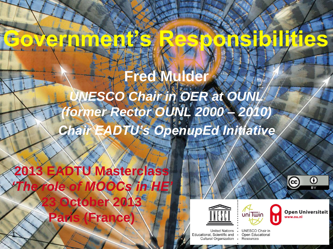# **Government's Responsibilities**

#### Fred Mulde *UNESCO Chair in OER at OUNL (former Rector OUNL 2000 – 2010) Chair EADTU's OpenupEd Initiative*

**2013 EADTU Masterclass** *'The role of MOOCs in HE'* **2100 Paris (France)**

 $\mathbf{1}$ 





 $\infty$  . **UNESCO Chair in** Open Educational Resources

uni Twin



(cc)

 $_{\rm o}$ 

вY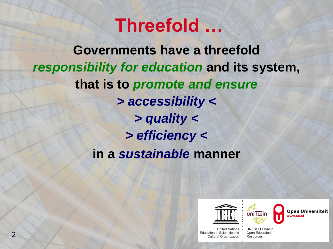#### **Threefold …**

**Governments have a threefold** *responsibility for education* **and its system, that is to** *promote and ensure > accessibility < > quality < > efficiency <* **in a** *sustainable* **manner**





Open Universiteit ww.ou.nl

Educational, Scientific and . Open Educational Cultural Organization • Resources

United Nations . UNESCO Chair in

Page 2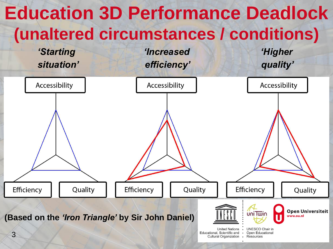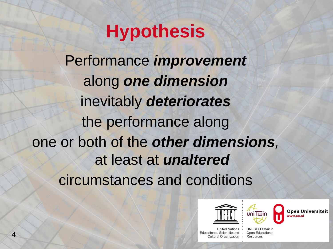## **Hypothesis**

Performance *improvement* along *one dimension* inevitably *deteriorates* the performance along one or both of the *other dimensions,*  at least at *unaltered* circumstances and conditions





Open Universiteit

Educational, Scientific and . Open Educational Cultural Organization • Resources

United Nations . UNESCO Chair in

Page 4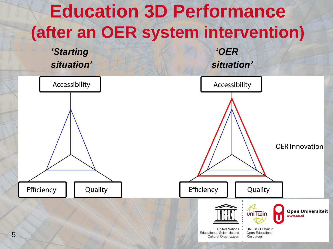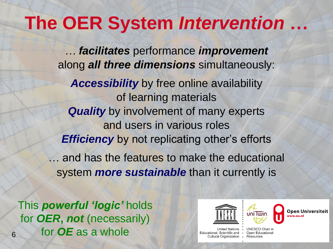#### **The OER System** *Intervention* **…**

*… facilitates* performance *improvement* along *all three dimensions* simultaneously:

*Accessibility* by free online availability of learning materials **Quality** by involvement of many experts and users in various roles *Efficiency* by not replicating other's efforts … and has the features to make the educational system *more sustainable* than it currently is

6 for *OE* as a whole This *powerful 'logic'* holds for *OER***,** *not* (necessarily)





Open Universiteit

**United Nations** Educational, Scientific and • Open Educational Cultural Organization • Resources

**UNESCO Chair in**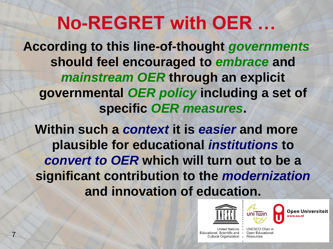## **No-REGRET with OER …**

**According to this line-of-thought** *governments* **should feel encouraged to** *embrace* **and**  *mainstream OER* **through an explicit governmental** *OER policy* **including a set of specific** *OER measures***.**

**Within such a** *context* **it is** *easier* **and more plausible for educational** *institutions* **to**  *convert to OER* **which will turn out to be a significant contribution to the** *modernization*  **and innovation of education.**





Open Universiteit

Educational, Scientific and • Open Educational Cultural Organization • Resources

United Nations . UNESCO Chair in

Page 7